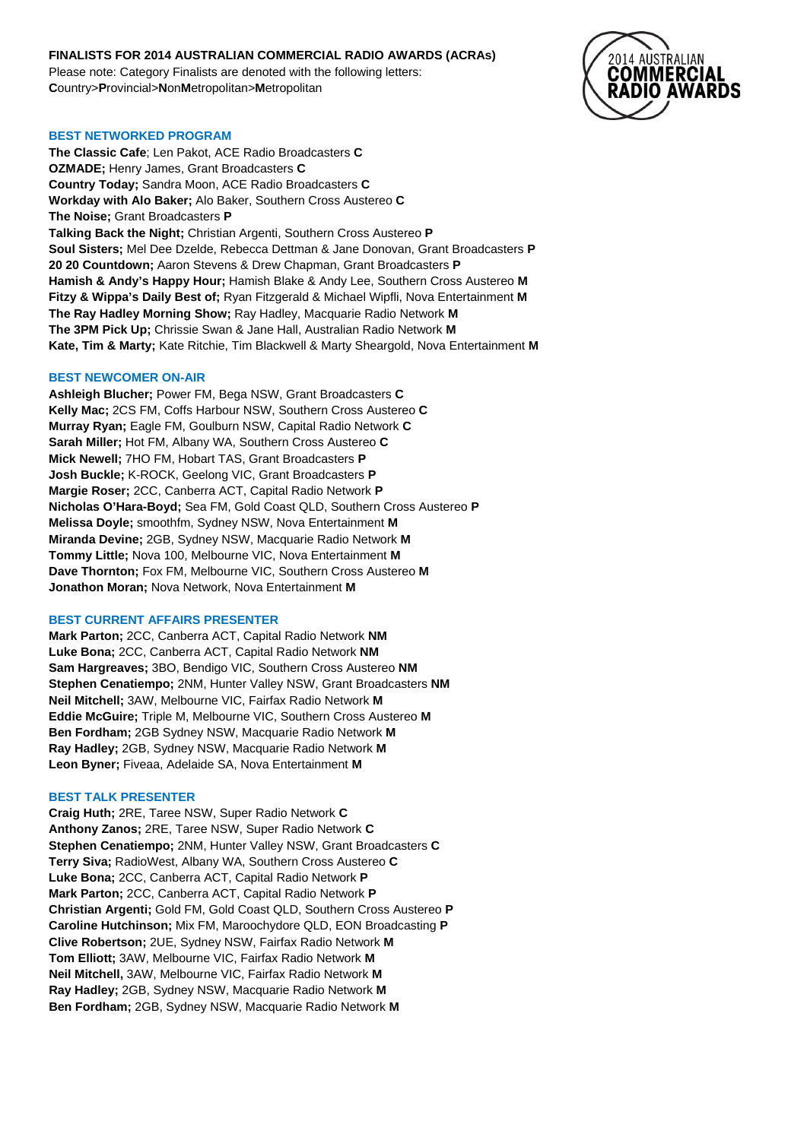## **FINALISTS FOR 2014 AUSTRALIAN COMMERCIAL RADIO AWARDS (ACRAs)**

Please note: Category Finalists are denoted with the following letters: **C**ountry>**P**rovincial>**N**on**M**etropolitan>**M**etropolitan



#### **BEST NETWORKED PROGRAM**

**The Classic Cafe**; Len Pakot, ACE Radio Broadcasters **C OZMADE;** Henry James, Grant Broadcasters **C Country Today;** Sandra Moon, ACE Radio Broadcasters **C Workday with Alo Baker;** Alo Baker, Southern Cross Austereo **C The Noise;** Grant Broadcasters **P Talking Back the Night;** Christian Argenti, Southern Cross Austereo **P Soul Sisters;** Mel Dee Dzelde, Rebecca Dettman & Jane Donovan, Grant Broadcasters **P 20 20 Countdown;** Aaron Stevens & Drew Chapman, Grant Broadcasters **P Hamish & Andy's Happy Hour;** Hamish Blake & Andy Lee, Southern Cross Austereo **M Fitzy & Wippa's Daily Best of;** Ryan Fitzgerald & Michael Wipfli, Nova Entertainment **M The Ray Hadley Morning Show;** Ray Hadley, Macquarie Radio Network **M The 3PM Pick Up;** Chrissie Swan & Jane Hall, Australian Radio Network **M Kate, Tim & Marty;** Kate Ritchie, Tim Blackwell & Marty Sheargold, Nova Entertainment **M**

# **BEST NEWCOMER ON-AIR**

**Ashleigh Blucher;** Power FM, Bega NSW, Grant Broadcasters **C Kelly Mac;** 2CS FM, Coffs Harbour NSW, Southern Cross Austereo **C Murray Ryan;** Eagle FM, Goulburn NSW, Capital Radio Network **C Sarah Miller;** Hot FM, Albany WA, Southern Cross Austereo **C Mick Newell;** 7HO FM, Hobart TAS, Grant Broadcasters **P Josh Buckle;** K-ROCK, Geelong VIC, Grant Broadcasters **P Margie Roser;** 2CC, Canberra ACT, Capital Radio Network **P Nicholas O'Hara-Boyd;** Sea FM, Gold Coast QLD, Southern Cross Austereo **P Melissa Doyle;** smoothfm, Sydney NSW, Nova Entertainment **M Miranda Devine;** 2GB, Sydney NSW, Macquarie Radio Network **M Tommy Little;** Nova 100, Melbourne VIC, Nova Entertainment **M Dave Thornton;** Fox FM, Melbourne VIC, Southern Cross Austereo **M Jonathon Moran;** Nova Network, Nova Entertainment **M**

# **BEST CURRENT AFFAIRS PRESENTER**

**Mark Parton;** 2CC, Canberra ACT, Capital Radio Network **NM Luke Bona;** 2CC, Canberra ACT, Capital Radio Network **NM Sam Hargreaves;** 3BO, Bendigo VIC, Southern Cross Austereo **NM Stephen Cenatiempo;** 2NM, Hunter Valley NSW, Grant Broadcasters **NM Neil Mitchell;** 3AW, Melbourne VIC, Fairfax Radio Network **M Eddie McGuire;** Triple M, Melbourne VIC, Southern Cross Austereo **M Ben Fordham;** 2GB Sydney NSW, Macquarie Radio Network **M Ray Hadley;** 2GB, Sydney NSW, Macquarie Radio Network **M Leon Byner;** Fiveaa, Adelaide SA, Nova Entertainment **M**

## **BEST TALK PRESENTER**

**Craig Huth;** 2RE, Taree NSW, Super Radio Network **C Anthony Zanos;** 2RE, Taree NSW, Super Radio Network **C Stephen Cenatiempo;** 2NM, Hunter Valley NSW, Grant Broadcasters **C Terry Siva;** RadioWest, Albany WA, Southern Cross Austereo **C Luke Bona;** 2CC, Canberra ACT, Capital Radio Network **P Mark Parton;** 2CC, Canberra ACT, Capital Radio Network **P Christian Argenti;** Gold FM, Gold Coast QLD, Southern Cross Austereo **P Caroline Hutchinson;** Mix FM, Maroochydore QLD, EON Broadcasting **P Clive Robertson;** 2UE, Sydney NSW, Fairfax Radio Network **M Tom Elliott;** 3AW, Melbourne VIC, Fairfax Radio Network **M Neil Mitchell,** 3AW, Melbourne VIC, Fairfax Radio Network **M Ray Hadley;** 2GB, Sydney NSW, Macquarie Radio Network **M Ben Fordham;** 2GB, Sydney NSW, Macquarie Radio Network **M**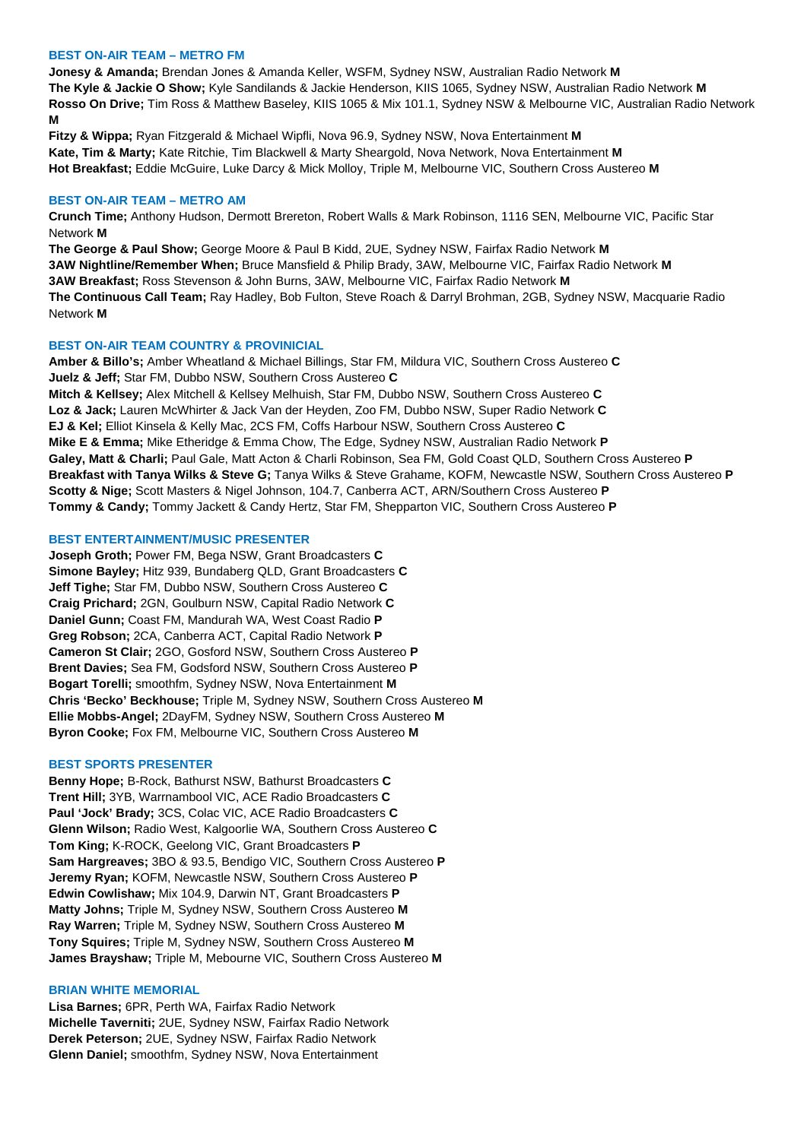#### **BEST ON-AIR TEAM – METRO FM**

**Jonesy & Amanda;** Brendan Jones & Amanda Keller, WSFM, Sydney NSW, Australian Radio Network **M The Kyle & Jackie O Show;** Kyle Sandilands & Jackie Henderson, KIIS 1065, Sydney NSW, Australian Radio Network **M Rosso On Drive;** Tim Ross & Matthew Baseley, KIIS 1065 & Mix 101.1, Sydney NSW & Melbourne VIC, Australian Radio Network **M**

**Fitzy & Wippa;** Ryan Fitzgerald & Michael Wipfli, Nova 96.9, Sydney NSW, Nova Entertainment **M Kate, Tim & Marty;** Kate Ritchie, Tim Blackwell & Marty Sheargold, Nova Network, Nova Entertainment **M Hot Breakfast;** Eddie McGuire, Luke Darcy & Mick Molloy, Triple M, Melbourne VIC, Southern Cross Austereo **M**

#### **BEST ON-AIR TEAM – METRO AM**

**Crunch Time;** Anthony Hudson, Dermott Brereton, Robert Walls & Mark Robinson, 1116 SEN, Melbourne VIC, Pacific Star Network **M**

**The George & Paul Show;** George Moore & Paul B Kidd, 2UE, Sydney NSW, Fairfax Radio Network **M 3AW Nightline/Remember When;** Bruce Mansfield & Philip Brady, 3AW, Melbourne VIC, Fairfax Radio Network **M 3AW Breakfast;** Ross Stevenson & John Burns, 3AW, Melbourne VIC, Fairfax Radio Network **M The Continuous Call Team;** Ray Hadley, Bob Fulton, Steve Roach & Darryl Brohman, 2GB, Sydney NSW, Macquarie Radio Network **M**

#### **BEST ON-AIR TEAM COUNTRY & PROVINICIAL**

**Amber & Billo's;** Amber Wheatland & Michael Billings, Star FM, Mildura VIC, Southern Cross Austereo **C Juelz & Jeff;** Star FM, Dubbo NSW, Southern Cross Austereo **C Mitch & Kellsey;** Alex Mitchell & Kellsey Melhuish, Star FM, Dubbo NSW, Southern Cross Austereo **C Loz & Jack;** Lauren McWhirter & Jack Van der Heyden, Zoo FM, Dubbo NSW, Super Radio Network **C EJ & Kel;** Elliot Kinsela & Kelly Mac, 2CS FM, Coffs Harbour NSW, Southern Cross Austereo **C Mike E & Emma;** Mike Etheridge & Emma Chow, The Edge, Sydney NSW, Australian Radio Network **P Galey, Matt & Charli;** Paul Gale, Matt Acton & Charli Robinson, Sea FM, Gold Coast QLD, Southern Cross Austereo **P Breakfast with Tanya Wilks & Steve G;** Tanya Wilks & Steve Grahame, KOFM, Newcastle NSW, Southern Cross Austereo **P Scotty & Nige;** Scott Masters & Nigel Johnson, 104.7, Canberra ACT, ARN/Southern Cross Austereo **P Tommy & Candy;** Tommy Jackett & Candy Hertz, Star FM, Shepparton VIC, Southern Cross Austereo **P**

## **BEST ENTERTAINMENT/MUSIC PRESENTER**

**Joseph Groth;** Power FM, Bega NSW, Grant Broadcasters **C Simone Bayley;** Hitz 939, Bundaberg QLD, Grant Broadcasters **C Jeff Tighe;** Star FM, Dubbo NSW, Southern Cross Austereo **C Craig Prichard;** 2GN, Goulburn NSW, Capital Radio Network **C Daniel Gunn;** Coast FM, Mandurah WA, West Coast Radio **P Greg Robson;** 2CA, Canberra ACT, Capital Radio Network **P Cameron St Clair;** 2GO, Gosford NSW, Southern Cross Austereo **P Brent Davies;** Sea FM, Godsford NSW, Southern Cross Austereo **P Bogart Torelli;** smoothfm, Sydney NSW, Nova Entertainment **M Chris 'Becko' Beckhouse;** Triple M, Sydney NSW, Southern Cross Austereo **M Ellie Mobbs-Angel;** 2DayFM, Sydney NSW, Southern Cross Austereo **M Byron Cooke;** Fox FM, Melbourne VIC, Southern Cross Austereo **M**

# **BEST SPORTS PRESENTER**

**Benny Hope;** B-Rock, Bathurst NSW, Bathurst Broadcasters **C Trent Hill;** 3YB, Warrnambool VIC, ACE Radio Broadcasters **C Paul 'Jock' Brady;** 3CS, Colac VIC, ACE Radio Broadcasters **C Glenn Wilson;** Radio West, Kalgoorlie WA, Southern Cross Austereo **C Tom King;** K-ROCK, Geelong VIC, Grant Broadcasters **P Sam Hargreaves;** 3BO & 93.5, Bendigo VIC, Southern Cross Austereo **P Jeremy Ryan;** KOFM, Newcastle NSW, Southern Cross Austereo **P Edwin Cowlishaw;** Mix 104.9, Darwin NT, Grant Broadcasters **P Matty Johns;** Triple M, Sydney NSW, Southern Cross Austereo **M Ray Warren;** Triple M, Sydney NSW, Southern Cross Austereo **M Tony Squires;** Triple M, Sydney NSW, Southern Cross Austereo **M James Brayshaw;** Triple M, Mebourne VIC, Southern Cross Austereo **M**

## **BRIAN WHITE MEMORIAL**

**Lisa Barnes;** 6PR, Perth WA, Fairfax Radio Network **Michelle Taverniti;** 2UE, Sydney NSW, Fairfax Radio Network **Derek Peterson;** 2UE, Sydney NSW, Fairfax Radio Network **Glenn Daniel;** smoothfm, Sydney NSW, Nova Entertainment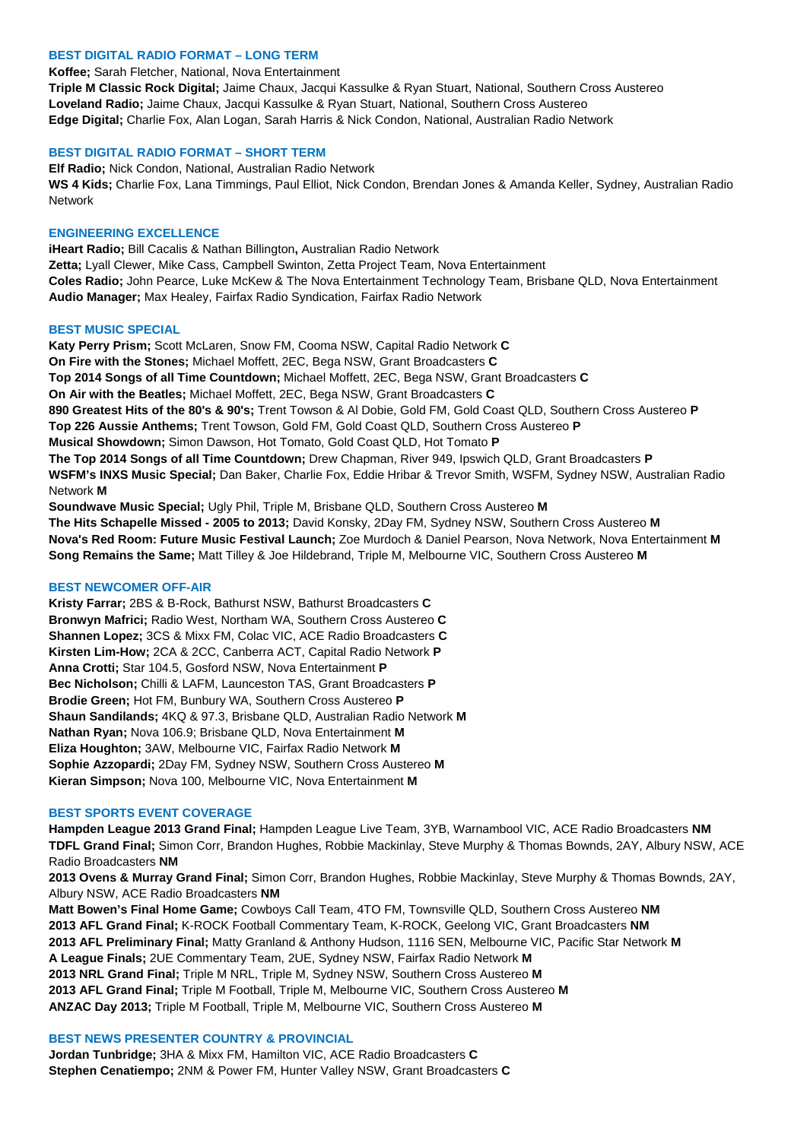## **BEST DIGITAL RADIO FORMAT – LONG TERM**

**Koffee;** Sarah Fletcher, National, Nova Entertainment

**Triple M Classic Rock Digital;** Jaime Chaux, Jacqui Kassulke & Ryan Stuart, National, Southern Cross Austereo **Loveland Radio;** Jaime Chaux, Jacqui Kassulke & Ryan Stuart, National, Southern Cross Austereo **Edge Digital;** Charlie Fox, Alan Logan, Sarah Harris & Nick Condon, National, Australian Radio Network

#### **BEST DIGITAL RADIO FORMAT – SHORT TERM**

**Elf Radio;** Nick Condon, National, Australian Radio Network **WS 4 Kids;** Charlie Fox, Lana Timmings, Paul Elliot, Nick Condon, Brendan Jones & Amanda Keller, Sydney, Australian Radio Network

## **ENGINEERING EXCELLENCE**

**iHeart Radio;** Bill Cacalis & Nathan Billington**,** Australian Radio Network **Zetta;** Lyall Clewer, Mike Cass, Campbell Swinton, Zetta Project Team, Nova Entertainment **Coles Radio;** John Pearce, Luke McKew & The Nova Entertainment Technology Team, Brisbane QLD, Nova Entertainment **Audio Manager;** Max Healey, Fairfax Radio Syndication, Fairfax Radio Network

#### **BEST MUSIC SPECIAL**

**Katy Perry Prism;** Scott McLaren, Snow FM, Cooma NSW, Capital Radio Network **C On Fire with the Stones;** Michael Moffett, 2EC, Bega NSW, Grant Broadcasters **C Top 2014 Songs of all Time Countdown;** Michael Moffett, 2EC, Bega NSW, Grant Broadcasters **C On Air with the Beatles;** Michael Moffett, 2EC, Bega NSW, Grant Broadcasters **C 890 Greatest Hits of the 80's & 90's;** Trent Towson & Al Dobie, Gold FM, Gold Coast QLD, Southern Cross Austereo **P Top 226 Aussie Anthems;** Trent Towson, Gold FM, Gold Coast QLD, Southern Cross Austereo **P Musical Showdown;** Simon Dawson, Hot Tomato, Gold Coast QLD, Hot Tomato **P The Top 2014 Songs of all Time Countdown;** Drew Chapman, River 949, Ipswich QLD, Grant Broadcasters **P WSFM's INXS Music Special;** Dan Baker, Charlie Fox, Eddie Hribar & Trevor Smith, WSFM, Sydney NSW, Australian Radio Network **M**

**Soundwave Music Special;** Ugly Phil, Triple M, Brisbane QLD, Southern Cross Austereo **M The Hits Schapelle Missed - 2005 to 2013;** David Konsky, 2Day FM, Sydney NSW, Southern Cross Austereo **M Nova's Red Room: Future Music Festival Launch;** Zoe Murdoch & Daniel Pearson, Nova Network, Nova Entertainment **M Song Remains the Same;** Matt Tilley & Joe Hildebrand, Triple M, Melbourne VIC, Southern Cross Austereo **M**

## **BEST NEWCOMER OFF-AIR**

**Kristy Farrar;** 2BS & B-Rock, Bathurst NSW, Bathurst Broadcasters **C Bronwyn Mafrici;** Radio West, Northam WA, Southern Cross Austereo **C Shannen Lopez;** 3CS & Mixx FM, Colac VIC, ACE Radio Broadcasters **C Kirsten Lim-How;** 2CA & 2CC, Canberra ACT, Capital Radio Network **P Anna Crotti;** Star 104.5, Gosford NSW, Nova Entertainment **P Bec Nicholson;** Chilli & LAFM, Launceston TAS, Grant Broadcasters **P Brodie Green;** Hot FM, Bunbury WA, Southern Cross Austereo **P Shaun Sandilands;** 4KQ & 97.3, Brisbane QLD, Australian Radio Network **M Nathan Ryan;** Nova 106.9; Brisbane QLD, Nova Entertainment **M Eliza Houghton;** 3AW, Melbourne VIC, Fairfax Radio Network **M Sophie Azzopardi;** 2Day FM, Sydney NSW, Southern Cross Austereo **M Kieran Simpson;** Nova 100, Melbourne VIC, Nova Entertainment **M**

## **BEST SPORTS EVENT COVERAGE**

**Hampden League 2013 Grand Final;** Hampden League Live Team, 3YB, Warnambool VIC, ACE Radio Broadcasters **NM TDFL Grand Final;** Simon Corr, Brandon Hughes, Robbie Mackinlay, Steve Murphy & Thomas Bownds, 2AY, Albury NSW, ACE Radio Broadcasters **NM**

**2013 Ovens & Murray Grand Final;** Simon Corr, Brandon Hughes, Robbie Mackinlay, Steve Murphy & Thomas Bownds, 2AY, Albury NSW, ACE Radio Broadcasters **NM**

**Matt Bowen's Final Home Game;** Cowboys Call Team, 4TO FM, Townsville QLD, Southern Cross Austereo **NM 2013 AFL Grand Final;** K-ROCK Football Commentary Team, K-ROCK, Geelong VIC, Grant Broadcasters **NM 2013 AFL Preliminary Final;** Matty Granland & Anthony Hudson, 1116 SEN, Melbourne VIC, Pacific Star Network **M A League Finals;** 2UE Commentary Team, 2UE, Sydney NSW, Fairfax Radio Network **M 2013 NRL Grand Final;** Triple M NRL, Triple M, Sydney NSW, Southern Cross Austereo **M 2013 AFL Grand Final;** Triple M Football, Triple M, Melbourne VIC, Southern Cross Austereo **M ANZAC Day 2013;** Triple M Football, Triple M, Melbourne VIC, Southern Cross Austereo **M**

## **BEST NEWS PRESENTER COUNTRY & PROVINCIAL**

**Jordan Tunbridge;** 3HA & Mixx FM, Hamilton VIC, ACE Radio Broadcasters **C Stephen Cenatiempo;** 2NM & Power FM, Hunter Valley NSW, Grant Broadcasters **C**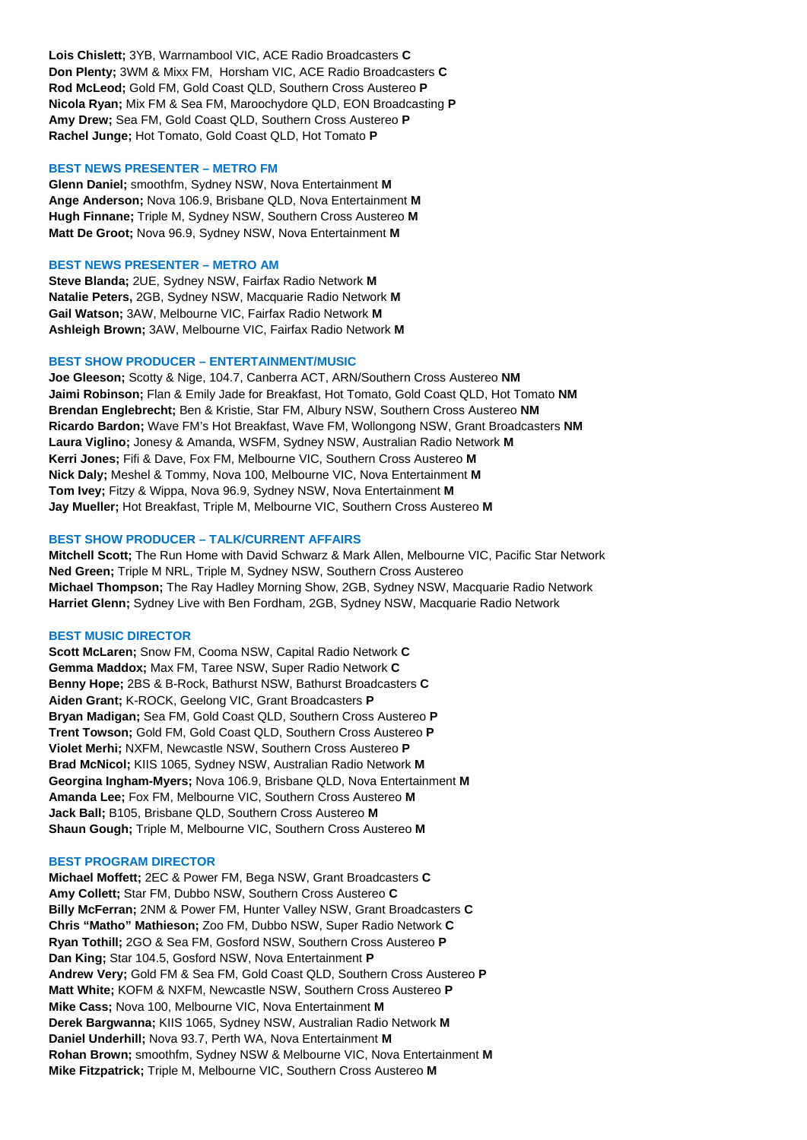**Lois Chislett;** 3YB, Warrnambool VIC, ACE Radio Broadcasters **C Don Plenty;** 3WM & Mixx FM, Horsham VIC, ACE Radio Broadcasters **C Rod McLeod;** Gold FM, Gold Coast QLD, Southern Cross Austereo **P Nicola Ryan;** Mix FM & Sea FM, Maroochydore QLD, EON Broadcasting **P Amy Drew;** Sea FM, Gold Coast QLD, Southern Cross Austereo **P Rachel Junge;** Hot Tomato, Gold Coast QLD, Hot Tomato **P**

#### **BEST NEWS PRESENTER – METRO FM**

**Glenn Daniel;** smoothfm, Sydney NSW, Nova Entertainment **M Ange Anderson;** Nova 106.9, Brisbane QLD, Nova Entertainment **M Hugh Finnane;** Triple M, Sydney NSW, Southern Cross Austereo **M Matt De Groot;** Nova 96.9, Sydney NSW, Nova Entertainment **M**

#### **BEST NEWS PRESENTER – METRO AM**

**Steve Blanda;** 2UE, Sydney NSW, Fairfax Radio Network **M Natalie Peters,** 2GB, Sydney NSW, Macquarie Radio Network **M Gail Watson;** 3AW, Melbourne VIC, Fairfax Radio Network **M Ashleigh Brown;** 3AW, Melbourne VIC, Fairfax Radio Network **M**

## **BEST SHOW PRODUCER – ENTERTAINMENT/MUSIC**

**Joe Gleeson;** Scotty & Nige, 104.7, Canberra ACT, ARN/Southern Cross Austereo **NM Jaimi Robinson;** Flan & Emily Jade for Breakfast, Hot Tomato, Gold Coast QLD, Hot Tomato **NM Brendan Englebrecht;** Ben & Kristie, Star FM, Albury NSW, Southern Cross Austereo **NM Ricardo Bardon;** Wave FM's Hot Breakfast, Wave FM, Wollongong NSW, Grant Broadcasters **NM Laura Viglino;** Jonesy & Amanda, WSFM, Sydney NSW, Australian Radio Network **M Kerri Jones;** Fifi & Dave, Fox FM, Melbourne VIC, Southern Cross Austereo **M Nick Daly;** Meshel & Tommy, Nova 100, Melbourne VIC, Nova Entertainment **M Tom Ivey;** Fitzy & Wippa, Nova 96.9, Sydney NSW, Nova Entertainment **M Jay Mueller;** Hot Breakfast, Triple M, Melbourne VIC, Southern Cross Austereo **M**

## **BEST SHOW PRODUCER – TALK/CURRENT AFFAIRS**

**Mitchell Scott;** The Run Home with David Schwarz & Mark Allen, Melbourne VIC, Pacific Star Network **Ned Green;** Triple M NRL, Triple M, Sydney NSW, Southern Cross Austereo **Michael Thompson;** The Ray Hadley Morning Show, 2GB, Sydney NSW, Macquarie Radio Network **Harriet Glenn;** Sydney Live with Ben Fordham, 2GB, Sydney NSW, Macquarie Radio Network

#### **BEST MUSIC DIRECTOR**

**Scott McLaren;** Snow FM, Cooma NSW, Capital Radio Network **C Gemma Maddox;** Max FM, Taree NSW, Super Radio Network **C Benny Hope;** 2BS & B-Rock, Bathurst NSW, Bathurst Broadcasters **C Aiden Grant;** K-ROCK, Geelong VIC, Grant Broadcasters **P Bryan Madigan;** Sea FM, Gold Coast QLD, Southern Cross Austereo **P Trent Towson;** Gold FM, Gold Coast QLD, Southern Cross Austereo **P Violet Merhi;** NXFM, Newcastle NSW, Southern Cross Austereo **P Brad McNicol;** KIIS 1065, Sydney NSW, Australian Radio Network **M Georgina Ingham-Myers;** Nova 106.9, Brisbane QLD, Nova Entertainment **M Amanda Lee;** Fox FM, Melbourne VIC, Southern Cross Austereo **M Jack Ball;** B105, Brisbane QLD, Southern Cross Austereo **M Shaun Gough;** Triple M, Melbourne VIC, Southern Cross Austereo **M**

#### **BEST PROGRAM DIRECTOR**

**Michael Moffett;** 2EC & Power FM, Bega NSW, Grant Broadcasters **C Amy Collett;** Star FM, Dubbo NSW, Southern Cross Austereo **C Billy McFerran;** 2NM & Power FM, Hunter Valley NSW, Grant Broadcasters **C Chris "Matho" Mathieson;** Zoo FM, Dubbo NSW, Super Radio Network **C Ryan Tothill;** 2GO & Sea FM, Gosford NSW, Southern Cross Austereo **P Dan King;** Star 104.5, Gosford NSW, Nova Entertainment **P Andrew Very;** Gold FM & Sea FM, Gold Coast QLD, Southern Cross Austereo **P Matt White;** KOFM & NXFM, Newcastle NSW, Southern Cross Austereo **P Mike Cass;** Nova 100, Melbourne VIC, Nova Entertainment **M Derek Bargwanna;** KIIS 1065, Sydney NSW, Australian Radio Network **M Daniel Underhill;** Nova 93.7, Perth WA, Nova Entertainment **M Rohan Brown;** smoothfm, Sydney NSW & Melbourne VIC, Nova Entertainment **M Mike Fitzpatrick;** Triple M, Melbourne VIC, Southern Cross Austereo **M**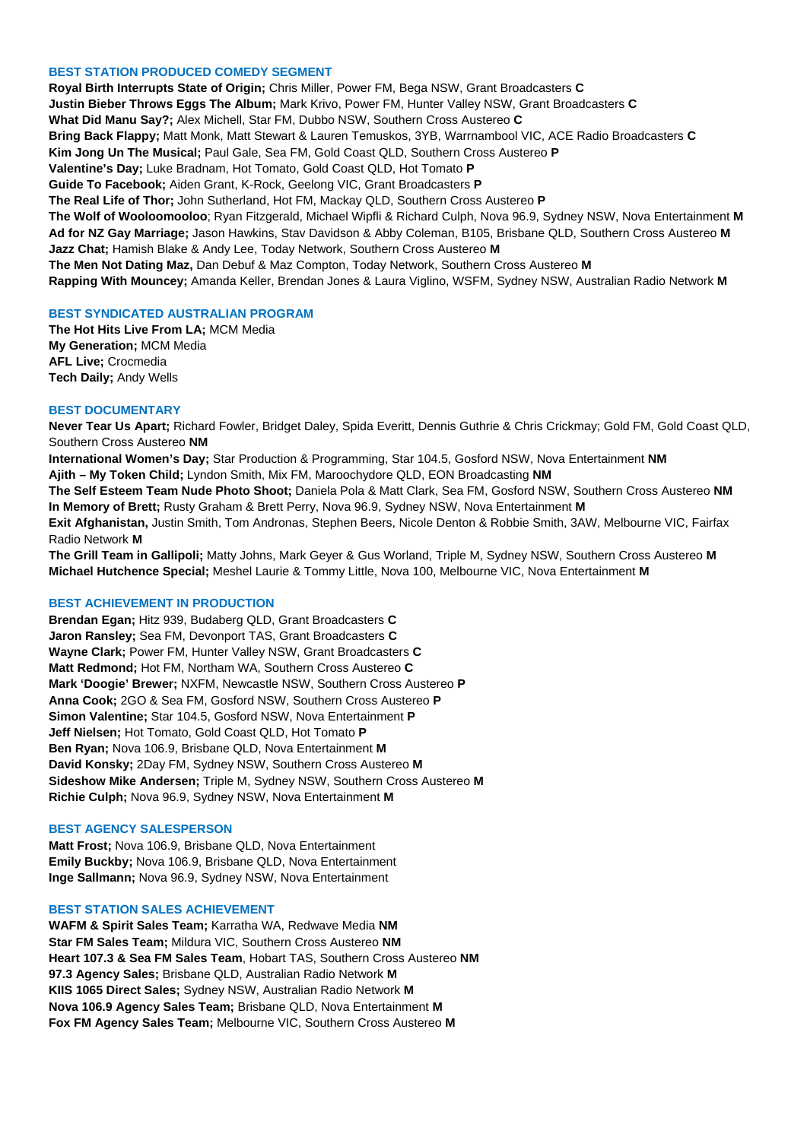### **BEST STATION PRODUCED COMEDY SEGMENT**

**Royal Birth Interrupts State of Origin;** Chris Miller, Power FM, Bega NSW, Grant Broadcasters **C Justin Bieber Throws Eggs The Album;** Mark Krivo, Power FM, Hunter Valley NSW, Grant Broadcasters **C What Did Manu Say?;** Alex Michell, Star FM, Dubbo NSW, Southern Cross Austereo **C Bring Back Flappy;** Matt Monk, Matt Stewart & Lauren Temuskos, 3YB, Warrnambool VIC, ACE Radio Broadcasters **C Kim Jong Un The Musical;** Paul Gale, Sea FM, Gold Coast QLD, Southern Cross Austereo **P Valentine's Day;** Luke Bradnam, Hot Tomato, Gold Coast QLD, Hot Tomato **P Guide To Facebook;** Aiden Grant, K-Rock, Geelong VIC, Grant Broadcasters **P The Real Life of Thor;** John Sutherland, Hot FM, Mackay QLD, Southern Cross Austereo **P The Wolf of Wooloomooloo**; Ryan Fitzgerald, Michael Wipfli & Richard Culph, Nova 96.9, Sydney NSW, Nova Entertainment **M Ad for NZ Gay Marriage;** Jason Hawkins, Stav Davidson & Abby Coleman, B105, Brisbane QLD, Southern Cross Austereo **M Jazz Chat;** Hamish Blake & Andy Lee, Today Network, Southern Cross Austereo **M The Men Not Dating Maz,** Dan Debuf & Maz Compton, Today Network, Southern Cross Austereo **M Rapping With Mouncey;** Amanda Keller, Brendan Jones & Laura Viglino, WSFM, Sydney NSW, Australian Radio Network **M**

## **BEST SYNDICATED AUSTRALIAN PROGRAM**

**The Hot Hits Live From LA;** MCM Media **My Generation;** MCM Media **AFL Live;** Crocmedia **Tech Daily;** Andy Wells

#### **BEST DOCUMENTARY**

**Never Tear Us Apart;** Richard Fowler, Bridget Daley, Spida Everitt, Dennis Guthrie & Chris Crickmay; Gold FM, Gold Coast QLD, Southern Cross Austereo **NM International Women's Day;** Star Production & Programming, Star 104.5, Gosford NSW, Nova Entertainment **NM Ajith – My Token Child;** Lyndon Smith, Mix FM, Maroochydore QLD, EON Broadcasting **NM The Self Esteem Team Nude Photo Shoot;** Daniela Pola & Matt Clark, Sea FM, Gosford NSW, Southern Cross Austereo **NM In Memory of Brett;** Rusty Graham & Brett Perry, Nova 96.9, Sydney NSW, Nova Entertainment **M**

**Exit Afghanistan,** Justin Smith, Tom Andronas, Stephen Beers, Nicole Denton & Robbie Smith, 3AW, Melbourne VIC, Fairfax Radio Network **M**

**The Grill Team in Gallipoli;** Matty Johns, Mark Geyer & Gus Worland, Triple M, Sydney NSW, Southern Cross Austereo **M Michael Hutchence Special;** Meshel Laurie & Tommy Little, Nova 100, Melbourne VIC, Nova Entertainment **M**

#### **BEST ACHIEVEMENT IN PRODUCTION**

**Brendan Egan;** Hitz 939, Budaberg QLD, Grant Broadcasters **C Jaron Ransley;** Sea FM, Devonport TAS, Grant Broadcasters **C Wayne Clark;** Power FM, Hunter Valley NSW, Grant Broadcasters **C Matt Redmond;** Hot FM, Northam WA, Southern Cross Austereo **C Mark 'Doogie' Brewer;** NXFM, Newcastle NSW, Southern Cross Austereo **P Anna Cook;** 2GO & Sea FM, Gosford NSW, Southern Cross Austereo **P Simon Valentine;** Star 104.5, Gosford NSW, Nova Entertainment **P Jeff Nielsen;** Hot Tomato, Gold Coast QLD, Hot Tomato **P Ben Ryan;** Nova 106.9, Brisbane QLD, Nova Entertainment **M David Konsky;** 2Day FM, Sydney NSW, Southern Cross Austereo **M Sideshow Mike Andersen;** Triple M, Sydney NSW, Southern Cross Austereo **M Richie Culph;** Nova 96.9, Sydney NSW, Nova Entertainment **M**

#### **BEST AGENCY SALESPERSON**

**Matt Frost;** Nova 106.9, Brisbane QLD, Nova Entertainment **Emily Buckby;** Nova 106.9, Brisbane QLD, Nova Entertainment **Inge Sallmann;** Nova 96.9, Sydney NSW, Nova Entertainment

#### **BEST STATION SALES ACHIEVEMENT**

**WAFM & Spirit Sales Team;** Karratha WA, Redwave Media **NM Star FM Sales Team;** Mildura VIC, Southern Cross Austereo **NM Heart 107.3 & Sea FM Sales Team**, Hobart TAS, Southern Cross Austereo **NM 97.3 Agency Sales;** Brisbane QLD, Australian Radio Network **M KIIS 1065 Direct Sales;** Sydney NSW, Australian Radio Network **M Nova 106.9 Agency Sales Team;** Brisbane QLD, Nova Entertainment **M Fox FM Agency Sales Team;** Melbourne VIC, Southern Cross Austereo **M**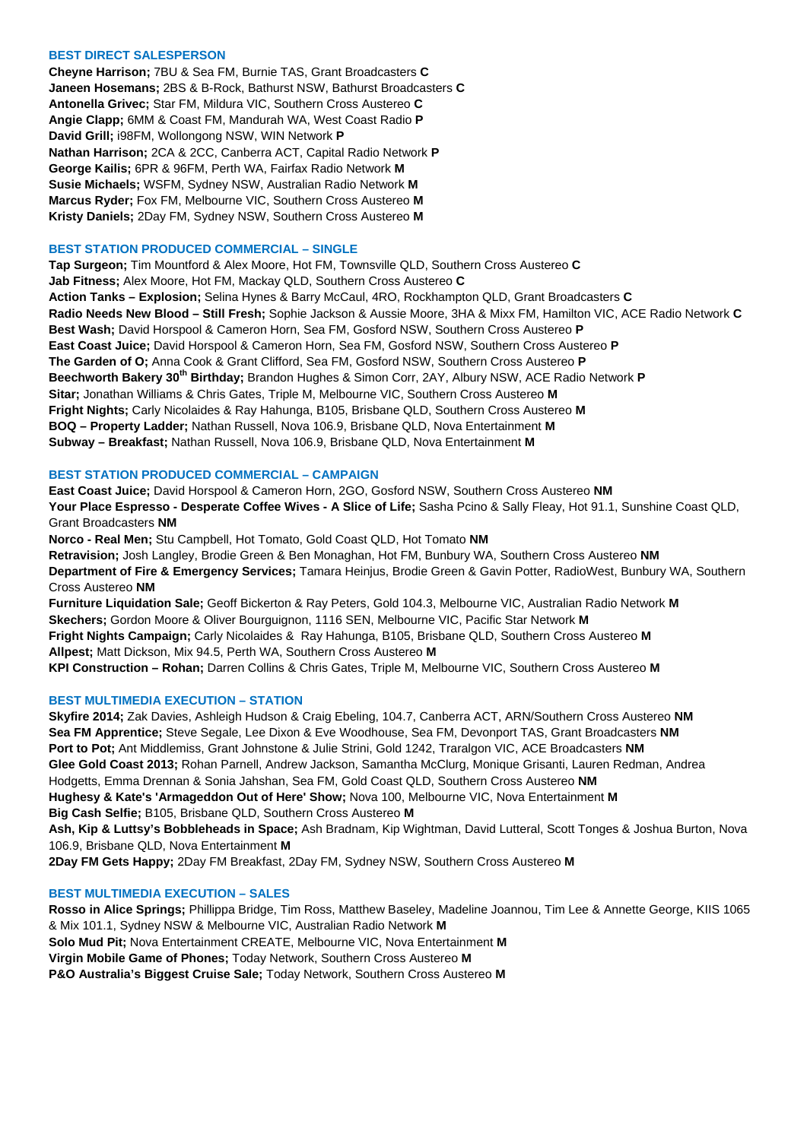## **BEST DIRECT SALESPERSON**

**Cheyne Harrison;** 7BU & Sea FM, Burnie TAS, Grant Broadcasters **C Janeen Hosemans;** 2BS & B-Rock, Bathurst NSW, Bathurst Broadcasters **C Antonella Grivec;** Star FM, Mildura VIC, Southern Cross Austereo **C Angie Clapp;** 6MM & Coast FM, Mandurah WA, West Coast Radio **P David Grill;** i98FM, Wollongong NSW, WIN Network **P Nathan Harrison;** 2CA & 2CC, Canberra ACT, Capital Radio Network **P George Kailis;** 6PR & 96FM, Perth WA, Fairfax Radio Network **M Susie Michaels;** WSFM, Sydney NSW, Australian Radio Network **M Marcus Ryder;** Fox FM, Melbourne VIC, Southern Cross Austereo **M Kristy Daniels;** 2Day FM, Sydney NSW, Southern Cross Austereo **M**

# **BEST STATION PRODUCED COMMERCIAL – SINGLE**

**Tap Surgeon;** Tim Mountford & Alex Moore, Hot FM, Townsville QLD, Southern Cross Austereo **C Jab Fitness;** Alex Moore, Hot FM, Mackay QLD, Southern Cross Austereo **C Action Tanks – Explosion;** Selina Hynes & Barry McCaul, 4RO, Rockhampton QLD, Grant Broadcasters **C Radio Needs New Blood – Still Fresh;** Sophie Jackson & Aussie Moore, 3HA & Mixx FM, Hamilton VIC, ACE Radio Network **C Best Wash;** David Horspool & Cameron Horn, Sea FM, Gosford NSW, Southern Cross Austereo **P East Coast Juice;** David Horspool & Cameron Horn, Sea FM, Gosford NSW, Southern Cross Austereo **P The Garden of O;** Anna Cook & Grant Clifford, Sea FM, Gosford NSW, Southern Cross Austereo **P Beechworth Bakery 30th Birthday;** Brandon Hughes & Simon Corr, 2AY, Albury NSW, ACE Radio Network **P Sitar;** Jonathan Williams & Chris Gates, Triple M, Melbourne VIC, Southern Cross Austereo **M Fright Nights;** Carly Nicolaides & Ray Hahunga, B105, Brisbane QLD, Southern Cross Austereo **M BOQ – Property Ladder;** Nathan Russell, Nova 106.9, Brisbane QLD, Nova Entertainment **M Subway – Breakfast;** Nathan Russell, Nova 106.9, Brisbane QLD, Nova Entertainment **M**

## **BEST STATION PRODUCED COMMERCIAL – CAMPAIGN**

**East Coast Juice;** David Horspool & Cameron Horn, 2GO, Gosford NSW, Southern Cross Austereo **NM Your Place Espresso - Desperate Coffee Wives - A Slice of Life;** Sasha Pcino & Sally Fleay, Hot 91.1, Sunshine Coast QLD, Grant Broadcasters **NM Norco - Real Men;** Stu Campbell, Hot Tomato, Gold Coast QLD, Hot Tomato **NM Retravision;** Josh Langley, Brodie Green & Ben Monaghan, Hot FM, Bunbury WA, Southern Cross Austereo **NM Department of Fire & Emergency Services;** Tamara Heinjus, Brodie Green & Gavin Potter, RadioWest, Bunbury WA, Southern Cross Austereo **NM**

**Furniture Liquidation Sale;** Geoff Bickerton & Ray Peters, Gold 104.3, Melbourne VIC, Australian Radio Network **M Skechers;** Gordon Moore & Oliver Bourguignon, 1116 SEN, Melbourne VIC, Pacific Star Network **M Fright Nights Campaign;** Carly Nicolaides & Ray Hahunga, B105, Brisbane QLD, Southern Cross Austereo **M Allpest;** Matt Dickson, Mix 94.5, Perth WA, Southern Cross Austereo **M KPI Construction – Rohan;** Darren Collins & Chris Gates, Triple M, Melbourne VIC, Southern Cross Austereo **M**

# **BEST MULTIMEDIA EXECUTION – STATION**

**Skyfire 2014;** Zak Davies, Ashleigh Hudson & Craig Ebeling, 104.7, Canberra ACT, ARN/Southern Cross Austereo **NM Sea FM Apprentice;** Steve Segale, Lee Dixon & Eve Woodhouse, Sea FM, Devonport TAS, Grant Broadcasters **NM Port to Pot;** Ant Middlemiss, Grant Johnstone & Julie Strini, Gold 1242, Traralgon VIC, ACE Broadcasters **NM Glee Gold Coast 2013;** Rohan Parnell, Andrew Jackson, Samantha McClurg, Monique Grisanti, Lauren Redman, Andrea Hodgetts, Emma Drennan & Sonia Jahshan, Sea FM, Gold Coast QLD, Southern Cross Austereo **NM Hughesy & Kate's 'Armageddon Out of Here' Show;** Nova 100, Melbourne VIC, Nova Entertainment **M Big Cash Selfie;** B105, Brisbane QLD, Southern Cross Austereo **M Ash, Kip & Luttsy's Bobbleheads in Space;** Ash Bradnam, Kip Wightman, David Lutteral, Scott Tonges & Joshua Burton, Nova 106.9, Brisbane QLD, Nova Entertainment **M 2Day FM Gets Happy;** 2Day FM Breakfast, 2Day FM, Sydney NSW, Southern Cross Austereo **M**

# **BEST MULTIMEDIA EXECUTION – SALES**

**Rosso in Alice Springs;** Phillippa Bridge, Tim Ross, Matthew Baseley, Madeline Joannou, Tim Lee & Annette George, KIIS 1065 & Mix 101.1, Sydney NSW & Melbourne VIC, Australian Radio Network **M Solo Mud Pit;** Nova Entertainment CREATE, Melbourne VIC, Nova Entertainment **M Virgin Mobile Game of Phones;** Today Network, Southern Cross Austereo **M P&O Australia's Biggest Cruise Sale;** Today Network, Southern Cross Austereo **M**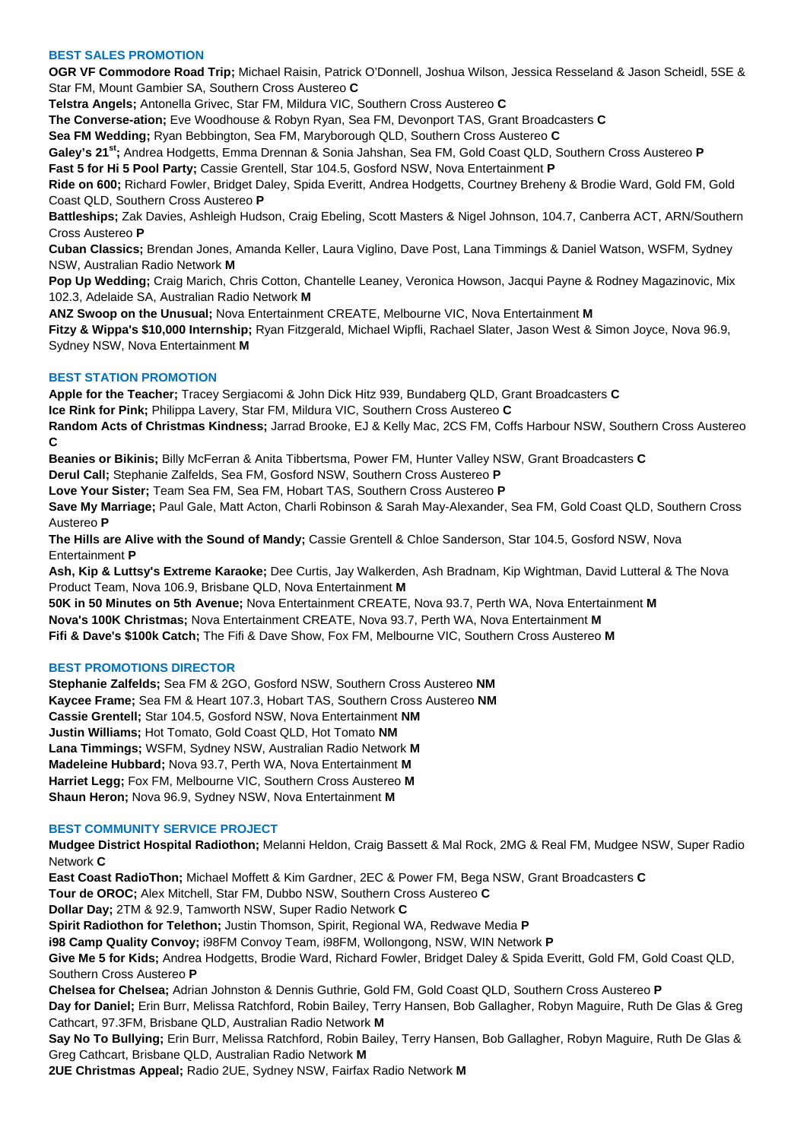# **BEST SALES PROMOTION**

**OGR VF Commodore Road Trip;** Michael Raisin, Patrick O'Donnell, Joshua Wilson, Jessica Resseland & Jason Scheidl, 5SE & Star FM, Mount Gambier SA, Southern Cross Austereo **C**

**Telstra Angels;** Antonella Grivec, Star FM, Mildura VIC, Southern Cross Austereo **C**

**The Converse-ation;** Eve Woodhouse & Robyn Ryan, Sea FM, Devonport TAS, Grant Broadcasters **C**

**Sea FM Wedding;** Ryan Bebbington, Sea FM, Maryborough QLD, Southern Cross Austereo **C**

**Galey's 21st;** Andrea Hodgetts, Emma Drennan & Sonia Jahshan, Sea FM, Gold Coast QLD, Southern Cross Austereo **P Fast 5 for Hi 5 Pool Party;** Cassie Grentell, Star 104.5, Gosford NSW, Nova Entertainment **P**

**Ride on 600;** Richard Fowler, Bridget Daley, Spida Everitt, Andrea Hodgetts, Courtney Breheny & Brodie Ward, Gold FM, Gold Coast QLD, Southern Cross Austereo **P**

**Battleships;** Zak Davies, Ashleigh Hudson, Craig Ebeling, Scott Masters & Nigel Johnson, 104.7, Canberra ACT, ARN/Southern Cross Austereo **P**

**Cuban Classics;** Brendan Jones, Amanda Keller, Laura Viglino, Dave Post, Lana Timmings & Daniel Watson, WSFM, Sydney NSW, Australian Radio Network **M**

**Pop Up Wedding;** Craig Marich, Chris Cotton, Chantelle Leaney, Veronica Howson, Jacqui Payne & Rodney Magazinovic, Mix 102.3, Adelaide SA, Australian Radio Network **M**

**ANZ Swoop on the Unusual;** Nova Entertainment CREATE, Melbourne VIC, Nova Entertainment **M**

**Fitzy & Wippa's \$10,000 Internship;** Ryan Fitzgerald, Michael Wipfli, Rachael Slater, Jason West & Simon Joyce, Nova 96.9, Sydney NSW, Nova Entertainment **M**

# **BEST STATION PROMOTION**

**Apple for the Teacher;** Tracey Sergiacomi & John Dick Hitz 939, Bundaberg QLD, Grant Broadcasters **C**

**Ice Rink for Pink;** Philippa Lavery, Star FM, Mildura VIC, Southern Cross Austereo **C**

**Random Acts of Christmas Kindness;** Jarrad Brooke, EJ & Kelly Mac, 2CS FM, Coffs Harbour NSW, Southern Cross Austereo **C**

**Beanies or Bikinis;** Billy McFerran & Anita Tibbertsma, Power FM, Hunter Valley NSW, Grant Broadcasters **C**

**Derul Call;** Stephanie Zalfelds, Sea FM, Gosford NSW, Southern Cross Austereo **P**

**Love Your Sister;** Team Sea FM, Sea FM, Hobart TAS, Southern Cross Austereo **P**

**Save My Marriage;** Paul Gale, Matt Acton, Charli Robinson & Sarah May-Alexander, Sea FM, Gold Coast QLD, Southern Cross Austereo **P**

**The Hills are Alive with the Sound of Mandy;** Cassie Grentell & Chloe Sanderson, Star 104.5, Gosford NSW, Nova Entertainment **P**

**Ash, Kip & Luttsy's Extreme Karaoke;** Dee Curtis, Jay Walkerden, Ash Bradnam, Kip Wightman, David Lutteral & The Nova Product Team, Nova 106.9, Brisbane QLD, Nova Entertainment **M**

**50K in 50 Minutes on 5th Avenue;** Nova Entertainment CREATE, Nova 93.7, Perth WA, Nova Entertainment **M Nova's 100K Christmas;** Nova Entertainment CREATE, Nova 93.7, Perth WA, Nova Entertainment **M Fifi & Dave's \$100k Catch;** The Fifi & Dave Show, Fox FM, Melbourne VIC, Southern Cross Austereo **M**

## **BEST PROMOTIONS DIRECTOR**

**Stephanie Zalfelds;** Sea FM & 2GO, Gosford NSW, Southern Cross Austereo **NM Kaycee Frame;** Sea FM & Heart 107.3, Hobart TAS, Southern Cross Austereo **NM Cassie Grentell;** Star 104.5, Gosford NSW, Nova Entertainment **NM Justin Williams;** Hot Tomato, Gold Coast QLD, Hot Tomato **NM Lana Timmings;** WSFM, Sydney NSW, Australian Radio Network **M Madeleine Hubbard;** Nova 93.7, Perth WA, Nova Entertainment **M Harriet Legg;** Fox FM, Melbourne VIC, Southern Cross Austereo **M Shaun Heron;** Nova 96.9, Sydney NSW, Nova Entertainment **M**

## **BEST COMMUNITY SERVICE PROJECT**

**Mudgee District Hospital Radiothon;** Melanni Heldon, Craig Bassett & Mal Rock, 2MG & Real FM, Mudgee NSW, Super Radio Network **C**

**East Coast RadioThon;** Michael Moffett & Kim Gardner, 2EC & Power FM, Bega NSW, Grant Broadcasters **C**

**Tour de OROC;** Alex Mitchell, Star FM, Dubbo NSW, Southern Cross Austereo **C**

**Dollar Day;** 2TM & 92.9, Tamworth NSW, Super Radio Network **C**

**Spirit Radiothon for Telethon;** Justin Thomson, Spirit, Regional WA, Redwave Media **P**

**i98 Camp Quality Convoy;** i98FM Convoy Team, i98FM, Wollongong, NSW, WIN Network **P**

**Give Me 5 for Kids;** Andrea Hodgetts, Brodie Ward, Richard Fowler, Bridget Daley & Spida Everitt, Gold FM, Gold Coast QLD, Southern Cross Austereo **P**

**Chelsea for Chelsea;** Adrian Johnston & Dennis Guthrie, Gold FM, Gold Coast QLD, Southern Cross Austereo **P**

**Day for Daniel;** Erin Burr, Melissa Ratchford, Robin Bailey, Terry Hansen, Bob Gallagher, Robyn Maguire, Ruth De Glas & Greg Cathcart, 97.3FM, Brisbane QLD, Australian Radio Network **M**

**Say No To Bullying;** Erin Burr, Melissa Ratchford, Robin Bailey, Terry Hansen, Bob Gallagher, Robyn Maguire, Ruth De Glas & Greg Cathcart, Brisbane QLD, Australian Radio Network **M**

**2UE Christmas Appeal;** Radio 2UE, Sydney NSW, Fairfax Radio Network **M**